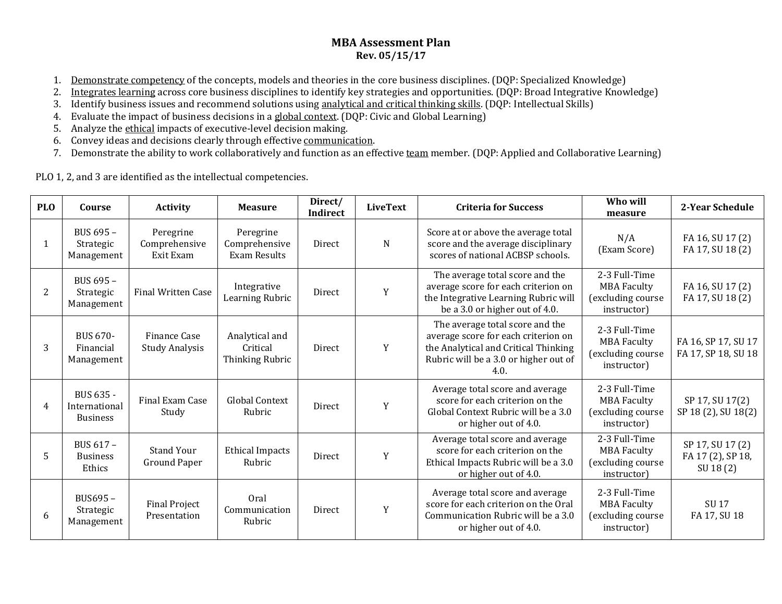## **MBA Assessment Plan Rev. 05/15/17**

- 1. Demonstrate competency of the concepts, models and theories in the core business disciplines. (DQP: Specialized Knowledge)
- 2. Integrates learning across core business disciplines to identify key strategies and opportunities. (DQP: Broad Integrative Knowledge)
- 3. Identify business issues and recommend solutions using analytical and critical thinking skills. (DQP: Intellectual Skills)
- 4. Evaluate the impact of business decisions in a global context. (DQP: Civic and Global Learning)
- 5. Analyze the ethical impacts of executive-level decision making.
- 6. Convey ideas and decisions clearly through effective communication.
- 7. Demonstrate the ability to work collaboratively and function as an effective team member. (DQP: Applied and Collaborative Learning)

PLO 1, 2, and 3 are identified as the intellectual competencies.

| <b>PLO</b> | Course                                        | <b>Activity</b>                         | <b>Measure</b>                                | Direct/<br><b>Indirect</b> | <b>LiveText</b> | <b>Criteria for Success</b>                                                                                                                                     | Who will<br>measure                                                     | 2-Year Schedule                                   |
|------------|-----------------------------------------------|-----------------------------------------|-----------------------------------------------|----------------------------|-----------------|-----------------------------------------------------------------------------------------------------------------------------------------------------------------|-------------------------------------------------------------------------|---------------------------------------------------|
| 1          | BUS 695 -<br>Strategic<br>Management          | Peregrine<br>Comprehensive<br>Exit Exam | Peregrine<br>Comprehensive<br>Exam Results    | Direct                     | N               | Score at or above the average total<br>score and the average disciplinary<br>scores of national ACBSP schools.                                                  | N/A<br>(Exam Score)                                                     | FA 16, SU 17 (2)<br>FA 17, SU 18 (2)              |
| 2          | BUS 695 -<br>Strategic<br>Management          | <b>Final Written Case</b>               | Integrative<br>Learning Rubric                | Direct                     | Y               | The average total score and the<br>average score for each criterion on<br>the Integrative Learning Rubric will<br>be a 3.0 or higher out of 4.0.                | 2-3 Full-Time<br><b>MBA Faculty</b><br>(excluding course<br>instructor) | FA 16, SU 17 (2)<br>FA 17, SU 18 (2)              |
| 3          | <b>BUS 670-</b><br>Financial<br>Management    | Finance Case<br><b>Study Analysis</b>   | Analytical and<br>Critical<br>Thinking Rubric | Direct                     | Y               | The average total score and the<br>average score for each criterion on<br>the Analytical and Critical Thinking<br>Rubric will be a 3.0 or higher out of<br>4.0. | 2-3 Full-Time<br><b>MBA Faculty</b><br>(excluding course<br>instructor) | FA 16, SP 17, SU 17<br>FA 17, SP 18, SU 18        |
| 4          | BUS 635 -<br>International<br><b>Business</b> | Final Exam Case<br>Study                | <b>Global Context</b><br>Rubric               | <b>Direct</b>              | Y               | Average total score and average<br>score for each criterion on the<br>Global Context Rubric will be a 3.0<br>or higher out of 4.0.                              | 2-3 Full-Time<br><b>MBA Faculty</b><br>(excluding course<br>instructor) | SP 17, SU 17(2)<br>SP 18 (2), SU 18(2)            |
| 5          | BUS 617 -<br><b>Business</b><br>Ethics        | <b>Stand Your</b><br>Ground Paper       | <b>Ethical Impacts</b><br>Rubric              | Direct                     | Y               | Average total score and average<br>score for each criterion on the<br>Ethical Impacts Rubric will be a 3.0<br>or higher out of 4.0.                             | 2-3 Full-Time<br><b>MBA Faculty</b><br>(excluding course<br>instructor) | SP 17, SU 17 (2)<br>FA 17 (2), SP 18,<br>SU 18(2) |
| 6          | BUS695-<br>Strategic<br>Management            | <b>Final Project</b><br>Presentation    | Oral<br>Communication<br>Rubric               | <b>Direct</b>              | Y               | Average total score and average<br>score for each criterion on the Oral<br>Communication Rubric will be a 3.0<br>or higher out of 4.0.                          | 2-3 Full-Time<br><b>MBA Faculty</b><br>(excluding course<br>instructor) | <b>SU17</b><br>FA 17, SU 18                       |